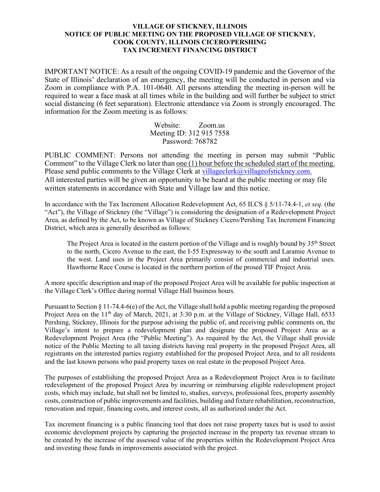## **VILLAGE OF STICKNEY, ILLINOIS NOTICE OF PUBLIC MEETING ON THE PROPOSED VILLAGE OF STICKNEY, COOK COUNTY, ILLINOIS CICERO/PERSHING TAX INCREMENT FINANCING DISTRICT**

IMPORTANT NOTICE: As a result of the ongoing COVID-19 pandemic and the Governor of the State of Illinois' declaration of an emergency, the meeting will be conducted in person and via Zoom in compliance with P.A. 101-0640. All persons attending the meeting in-person will be required to wear a face mask at all times while in the building and will further be subject to strict social distancing (6 feet separation). Electronic attendance via Zoom is strongly encouraged. The information for the Zoom meeting is as follows:

> Website: Zoom.us Meeting ID: 312 915 7558 Password: 768782

PUBLIC COMMENT: Persons not attending the meeting in person may submit "Public Comment" to the Village Clerk no later than one (1) hour before the scheduled start of the meeting. Please send public comments to the Village Clerk at [villageclerk@villageofstickney.com.](about:blank) All interested parties will be given an opportunity to be heard at the public meeting or may file written statements in accordance with State and Village law and this notice.

In accordance with the Tax Increment Allocation Redevelopment Act, 65 ILCS § 5/11-74.4-1, *et seq.* (the "Act"), the Village of Stickney (the "Village") is considering the designation of a Redevelopment Project Area, as defined by the Act, to be known as Village of Stickney Cicero/Pershing Tax Increment Financing District, which area is generally described as follows:

The Project Area is located in the eastern portion of the Village and is roughly bound by 35<sup>th</sup> Street to the north, Cicero Avenue to the east, the I-55 Expressway to the south and Laramie Avenue to the west. Land uses in the Project Area primarily consist of commercial and industrial uses. Hawthorne Race Course is located in the northern portion of the prosed TIF Project Area.

A more specific description and map of the proposed Project Area will be available for public inspection at the Village Clerk's Office during normal Village Hall business hours.

Pursuant to Section § 11-74.4-6(e) of the Act, the Village shall hold a public meeting regarding the proposed Project Area on the 11<sup>th</sup> day of March, 2021, at 3:30 p.m. at the Village of Stickney, Village Hall, 6533 Pershing, Stickney, Illinois for the purpose advising the public of, and receiving public comments on, the Village's intent to prepare a redevelopment plan and designate the proposed Project Area as a Redevelopment Project Area (the "Public Meeting"). As required by the Act, the Village shall provide notice of the Public Meeting to all taxing districts having real property in the proposed Project Area, all registrants on the interested parties registry established for the proposed Project Area, and to all residents and the last known persons who paid property taxes on real estate in the proposed Project Area.

The purposes of establishing the proposed Project Area as a Redevelopment Project Area is to facilitate redevelopment of the proposed Project Area by incurring or reimbursing eligible redevelopment project costs, which may include, but shall not be limited to, studies, surveys, professional fees, property assembly costs, construction of public improvements and facilities, building and fixture rehabilitation, reconstruction, renovation and repair, financing costs, and interest costs, all as authorized under the Act.

Tax increment financing is a public financing tool that does not raise property taxes but is used to assist economic development projects by capturing the projected increase in the property tax revenue stream to be created by the increase of the assessed value of the properties within the Redevelopment Project Area and investing those funds in improvements associated with the project.